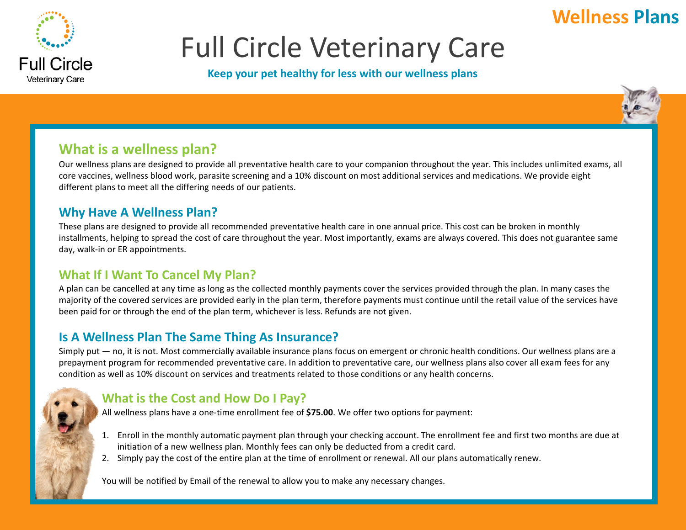# **Wellness Plans**



# Full Circle Veterinary Care

#### **Keep your pet healthy for less with our wellness plans**



### **What is a wellness plan?**

Our wellness plans are designed to provide all preventative health care to your companion throughout the year. This includes unlimited exams, all core vaccines, wellness blood work, parasite screening and a 10% discount on most additional services and medications. We provide eight different plans to meet all the differing needs of our patients.

### **Why Have A Wellness Plan?**

These plans are designed to provide all recommended preventative health care in one annual price. This cost can be broken in monthly installments, helping to spread the cost of care throughout the year. Most importantly, exams are always covered. This does not guarantee same day, walk-in or ER appointments.

### **What If I Want To Cancel My Plan?**

A plan can be cancelled at any time as long as the collected monthly payments cover the services provided through the plan. In many cases the majority of the covered services are provided early in the plan term, therefore payments must continue until the retail value of the services have been paid for or through the end of the plan term, whichever is less. Refunds are not given.

### **Is A Wellness Plan The Same Thing As Insurance?**

Simply put — no, it is not. Most commercially available insurance plans focus on emergent or chronic health conditions. Our wellness plans are a prepayment program for recommended preventative care. In addition to preventative care, our wellness plans also cover all exam fees for any condition as well as 10% discount on services and treatments related to those conditions or any health concerns.

### **What is the Cost and How Do I Pay?**

All wellness plans have a one-time enrollment fee of **\$75.00**. We offer two options for payment:

- 1. Enroll in the monthly automatic payment plan through your checking account. The enrollment fee and first two months are due at initiation of a new wellness plan. Monthly fees can only be deducted from a credit card.
- 2. Simply pay the cost of the entire plan at the time of enrollment or renewal. All our plans automatically renew.

You will be notified by Email of the renewal to allow you to make any necessary changes.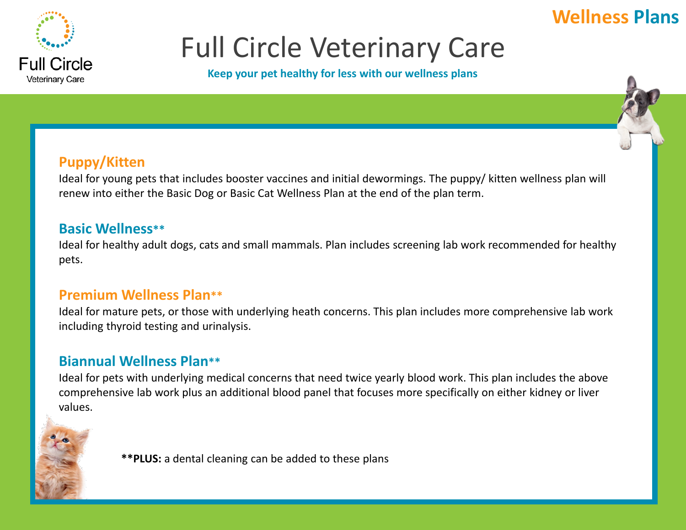## **Wellness Plans**



# Full Circle Veterinary Care

**Keep your pet healthy for less with our wellness plans**

### **Puppy/Kitten**

Ideal for young pets that includes booster vaccines and initial dewormings. The puppy/ kitten wellness plan will renew into either the Basic Dog or Basic Cat Wellness Plan at the end of the plan term.

### **Basic Wellness\*\***

Ideal for healthy adult dogs, cats and small mammals. Plan includes screening lab work recommended for healthy pets.

### **Premium Wellness Plan\*\***

Ideal for mature pets, or those with underlying heath concerns. This plan includes more comprehensive lab work including thyroid testing and urinalysis.

## **Biannual Wellness Plan\*\***

Ideal for pets with underlying medical concerns that need twice yearly blood work. This plan includes the above comprehensive lab work plus an additional blood panel that focuses more specifically on either kidney or liver values.

**\*\*PLUS:** a dental cleaning can be added to these plans